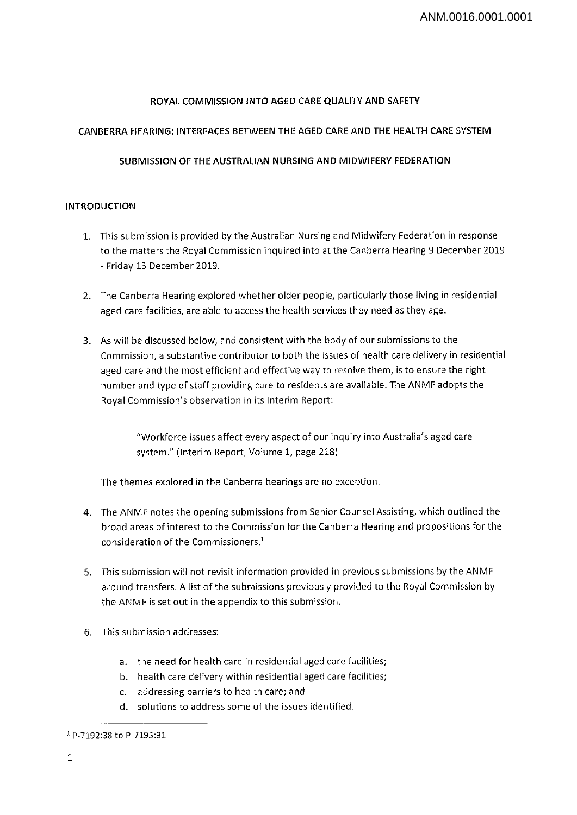## **ROYAL COMMISSION INTO AGED CARE QUALITY AND SAFETY**

## **CANBERRA HEARING: INTERFACES BETWEEN THE AGED CARE AND THE HEALTH CARE SYSTEM**

# **SUBMISSION OF THE AUSTRALIAN NURSING AND MIDWIFERY FEDERATION**

## **INTRODUCTION**

- 1. This submission is provided by the Australian Nursing and Midwifery Federation in response to the matters the Royal Commission inquired into at the Canberra Hearing 9 December 2019 - Friday 13 December 2019.
- 2. The Canberra Hearing explored whether older people, particularly those living in residential aged care facilities, are able to access the health services they need as they age.
- 3. As will be discussed below, and consistent with the body of our submissions to the Commission, <sup>a</sup> substantive contributor to both the issues of health care delivery in residential aged care and the most efficient and effective way to resolve them, is to ensure the right number and type of staff providing care to residents are available. The ANMF adopts the Royal Commission's observation in its Interim Report:

"Workforce issues affect every aspect of our inquiry into Australia's aged care system." (Interim Report, Volume 1, page 218)

The themes explored in the Canberra hearings are no exception.

- 4. The ANMF notes the opening submissions from Senior Counsel Assisting, which outlined the broad areas of interest to the Commission for the Canberra Hearing and propositions for the consideration of the Commissioners.1
- 5. This submission will not revisit information provided in previous submissions by the ANMF around transfers. A list of the submissions previously provided to the Royal Commission by the ANMF is set out in the appendix to this submission.
- 6. This submission addresses:
	- a. the need for health care in residential aged care facilities;
	- b. health care delivery within residential aged care facilities;
	- c. addressing barriers to health care; and
	- d. solutions to address some of the issues identified.

<sup>1</sup> R-7192:38 to P-7195:31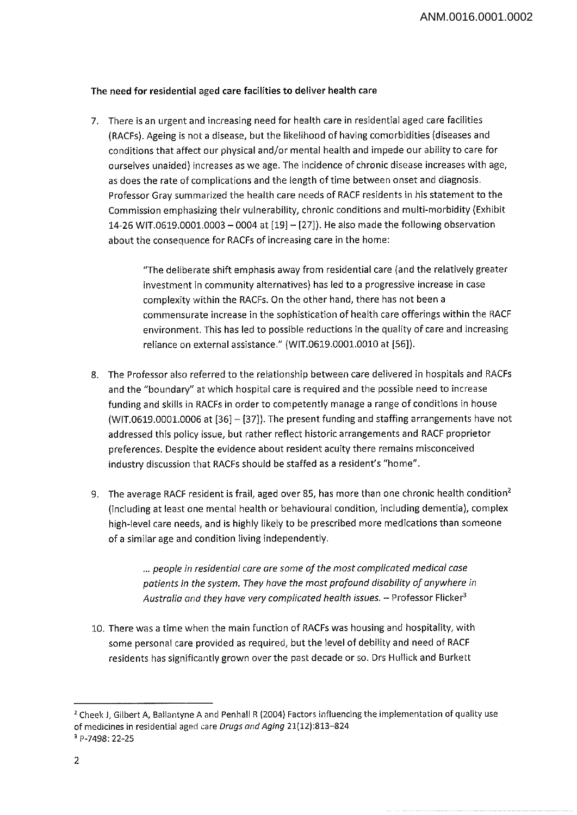## The need for residential aged care facilities to deliver health care

7. There is an urgent and increasing need for health care in residential aged care facilities (RACFs). Ageing is not <sup>a</sup> disease, but the likelihood of having comorbidities (diseases and conditions that affect our physical and/or mental health and impede our ability to care for ourselves unaided) increases as we age. The incidence of chronic disease increases with age, as does the rate of complications and the length of time between onset and diagnosis. Professor Gray summarized the health care needs of RACF residents in his statement to the Commission emphasizing their vulnerability, chronic conditions and multi-morbidity (Exhibit 14-26 WIT.0619.0001.0003 - <sup>0004</sup> at [19] -[27]). He also made the following observation about the consequence for RACFs of increasing care in the home:

> "The deliberate shift emphasis away from residential care (and the relatively greater investment in community alternatives) has led to <sup>a</sup> progressive increase in case complexity within the RACFs. On the other hand, there has not been <sup>a</sup> commensurate increase in the sophistication of health care offerings within the RACF environment. This has led to possible reductions in the quality of care and increasing reliance on external assistance." (WIT.0619.0001.0010 at [56]).

- 8. The Professor also referred to the relationship between care delivered in hospitals and RACFs and the "boundary" at which hospital care is required and the possible need to increase funding and skills in RACFs in order to competently manage <sup>a</sup> range of conditions in house  $(WIT.0619.0001.0006$  at  $[36] - [37]$ ). The present funding and staffing arrangements have not addressed this policy issue, but rather reflect historic arrangements and RACF proprietor preferences. Despite the evidence about resident acuity there remains misconceived industry discussion that RACFs should be staffed as a resident's "home".
- 9. The average RACF resident is frail, aged over 85, has more than one chronic health condition<sup>2</sup> (including at least one mental health or behavioural condition, including dementia), complex high-level care needs, and is highly likely to be prescribed more medications than someone of a similar age and condition living independently.

... *people in residential care are some of the most complicated medical case patients in the system. They have the most profound disability of anywhere in Australia and they have very complicated health issues. -* Professor Flicker3

10. There was <sup>a</sup> time when the main function of RACFs was housing and hospitality, with some personal care provided as required, but the level of debility and need of RACF residents has significantly grown over the past decade or so. Drs Hullick and Burkett

<sup>&</sup>lt;sup>2</sup> Cheek J, Gilbert A, Ballantyne A and Penhall R (2004) Factors influencing the implementation of quality use of medicines in residential aged care *Drugs and Aging* 21(12):813-824

<sup>3</sup> P-7498: 22-25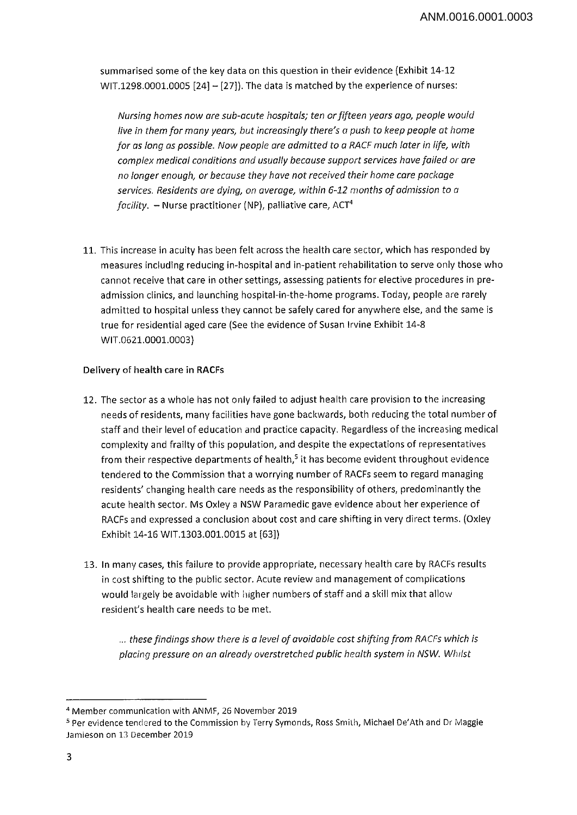summarised some of the key data on this question in their evidence (Exhibit 14-12 WIT.1298.0001.0005  $[24] - [27]$ ). The data is matched by the experience of nurses:

*Nursing homes now are sub-acute hospitals; ten orfifteen years ago, people would live in them for many years, but increasingly there's a push to keep people at home for as long as possible. Now people are admitted to a RACF much later in life, with complex medical conditions and usually because support services havefailed or are no longer enough, or because they have not received their home care package services. Residents are dying, on average, within 6-12 months ofadmission to <sup>a</sup> facility. -* Nurse practitioner (NP), palliative care, ACT4

11. This increase in acuity has been felt across the health care sector, which has responded by measures including reducing in-hospital and in-patient rehabilitation to serve only those who cannot receive that care in other settings, assessing patients for elective procedures in preadmission clinics, and launching hospital-in-the-home programs. Today, people are rarely admitted to hospital unless they cannot be safely cared for anywhere else, and the same is true for residential aged care (See the evidence of Susan Irvine Exhibit 14-8 WIT.0621.0001.0003)

# **Delivery of health care in RACFs**

- 12. The sector as a whole has not only failed to adjust health care provision to the increasing needs of residents, many facilities have gone backwards, both reducing the total number of staff and their level of education and practice capacity. Regardless of the increasing medical complexity and frailty of this population, and despite the expectations of representatives from their respective departments of health, $5$  it has become evident throughout evidence tendered to the Commission that <sup>a</sup> worrying number of RACFs seem to regard managing residents' changing health care needs as the responsibility of others, predominantly the acute health sector. Ms Oxley <sup>a</sup> NSW Paramedic gave evidence about her experience of RACFs and expressed a conclusion about cost and care shifting in very direct terms. (Oxley Exhibit 14-16 WIT.1303.001.0015 at [63])
- 13. In many cases, this failure to provide appropriate, necessary health care by RACFs results in cost shifting to the public sector. Acute review and management of complications would largely be avoidable with higher numbers of staff and <sup>a</sup> skill mix that allow resident's health care needs to be met.

... *thesefindings show there is a level of avoidable cost shifting from RACFs which is placing pressure on an already overstretched public health system in NSW. Whilst*

<sup>4</sup> Member communication with ANMF, 26 November 2019

<sup>5</sup> Per evidence tendered to the Commission by Terry Symonds, Ross Smith, Michael De'Ath and Dr Maggie Jamieson on 13 December 2019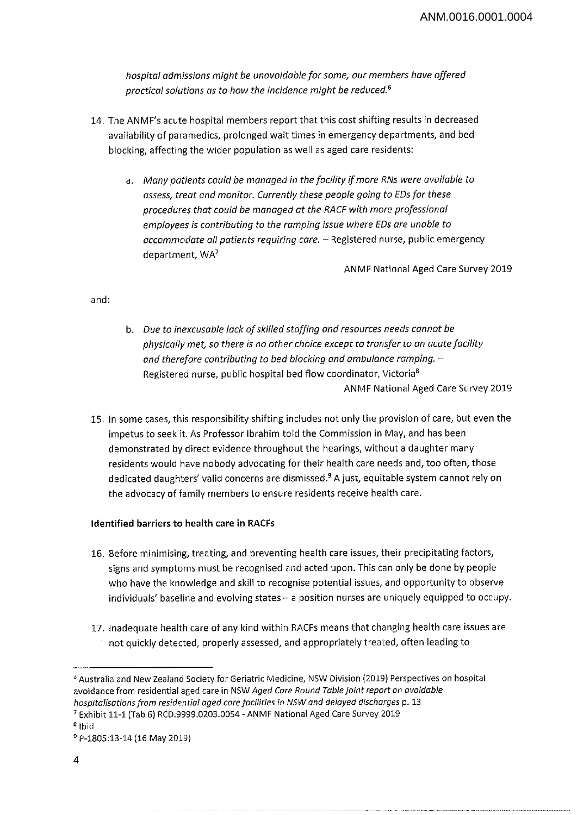*hospital admissions might be unavoidable for some, our members have offered practical solutions as to how the incidence might be reduced.6*

- 14. The ANMF's acute hospital members report that this cost shifting results in decreased availability of paramedics, prolonged wait times in emergency departments, and bed blocking, affecting the wider population as well as aged care residents:
	- a. *Many patients could be managed in the facility ifmore RNs were available to assess, treat and monitor. Currently these people going to EDsfor these procedures that could be managed at the RACE with more professional employees is contributing to the ramping issue where EDs are unable to accommodate all patients requiring care. -* Registered nurse, public emergency department, WA7

ANMF National Aged Care Survey 2019

and:

- b. *Due to inexcusable lack ofskilled staffing and resources needs cannot be physically met, so there is no other choice except to transfer to an acute facility and therefore contributing to bed blocking and ambulance romping. -* Registered nurse, public hospital bed flow coordinator, Victoria8 ANMF National Aged Care Survey 2019
- 15. In some cases, this responsibility shifting includes not only the provision of care, but even the impetus to seek it. As Professor Ibrahim told the Commission in May, and has been demonstrated by direct evidence throughout the hearings, without a daughter many residents would have nobody advocating for their health care needs and, too often, those dedicated daughters' valid concerns are dismissed.9 A just, equitable system cannot rely on the advocacy of family members to ensure residents receive health care.

## **Identified barriers to health care in RACFs**

- 16. Before minimising, treating, and preventing health care issues, their precipitating factors, signs and symptoms must be recognised and acted upon. This can only be done by people who have the knowledge and skill to recognise potential issues, and opportunity to observe individuals' baseline and evolving states - a position nurses are uniquely equipped to occupy.
- 17. Inadequate health care of any kind within RACFs means that changing health care issues are not quickly detected, properly assessed, and appropriately treated, often leading to

<sup>°</sup> Australia and New Zealand Society for Geriatric Medicine, NSW Division (2019) Perspectives on hospital avoidance from residential aged care in NSW *Aged Care Round Table joint report on avoidable hospitalisationsfrom residential aged carefacilities in NSW and delayed discharges* p. 13

*<sup>7</sup>* Exhibit 11-1 (Tab 6) RCD.9999.0203.0054 - ANMF National Aged Care Survey 2019

<sup>8</sup> Ibid

<sup>9</sup> P-1805:13-14 (16 May 2019)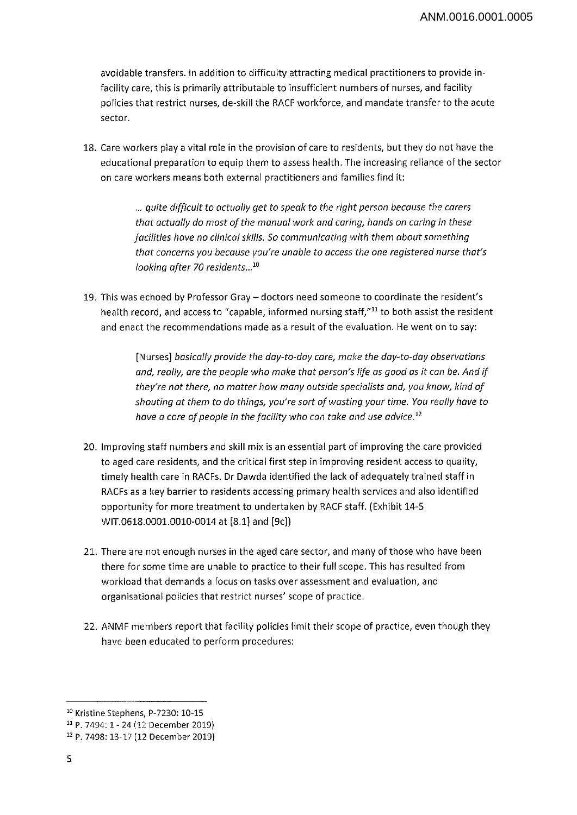avoidable transfers. In addition to difficulty attracting medical practitioners to provide infacility care, this is primarily attributable to insufficient numbers of nurses, and facility policies that restrict nurses, de-skill the RACF workforce, and mandate transfer to the acute sector.

18. Care workers play <sup>a</sup> vital role in the provision of care to residents, but they do not have the educational preparation to equip them to assess health. The increasing reliance of the sector on care workers means both external practitioners and families find it:

> ... *quite difficult to actually get to speak to the right person because the carers that actually do most ofthe manual work and caring, hands on caring in these facilities have no clinical skills. So communicating with them about something that concerns you because you're unable to access the one registered nurse that's looking after 70 residents...10*

19. This was echoed by Professor Gray - doctors need someone to coordinate the resident's health record, and access to "capable, informed nursing staff,"<sup>11</sup> to both assist the resident and enact the recommendations made as a result of the evaluation. He went on to say:

> [Nurses] *basically provide the day-to-day care, make the day-to-day observations and, really, are the people who make that person's life as good as it can be. And if they're not there, no matter how many outside specialists and, you know, kind of shouting at them to do things, you're sort of wasting your time. You really have to have a core of people in the facility who can take and use advice.*<sup>12</sup>

- 20. Improving staff numbers and skill mix is an essential part of improving the care provided to aged care residents, and the critical first step in improving resident access to quality, timely health care in RACFs. Dr Dawda identified the lack of adequately trained staff in RACFs as a key barrier to residents accessing primary health services and also identified opportunity for more treatment to undertaken by RACF staff. (Exhibit 14-5 WIT.0618.0001.0010-0014 at [8.1] and [9c]}
- 21. There are not enough nurses in the aged care sector, and many of those who have been there for some time are unable to practice to their full scope. This has resulted from workload that demands a focus on tasks over assessment and evaluation, and organisational policies that restrict nurses' scope of practice.
- 22. ANMF members report that facility policies limit their scope of practice, even though they have been educated to perform procedures:

<sup>&</sup>lt;sup>10</sup> Kristine Stephens, P-7230: 10-15

<sup>11</sup> P. 7494:1 - 24 (12 December 2019)

<sup>12</sup> P. 7498:13-17 (12 December 2019)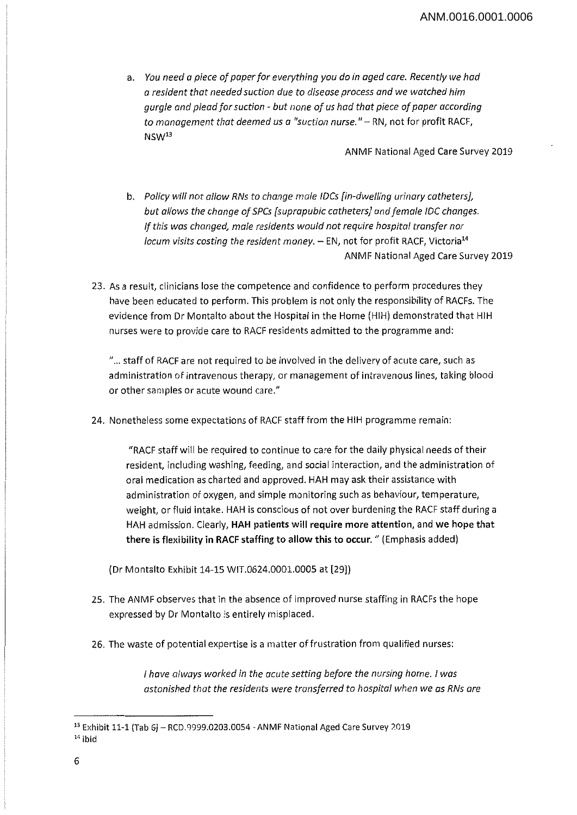a. *You need a piece ofpaperfor everything you do in aged care. Recently we had a resident that needed suction due to disease process and we watched him gurgle and pleadfor suction - but none of us had that piece ofpaper according to management that deemed us a "suction nurse."-RN,* not for profit RACF, NSW13

ANMF National Aged Care Survey 2019

- b. *Policy will not allow RNs to change male IDCs [in-dwelling urinary catheters], but allows the change ofSPCs [suprapubic catheters] andfemale IDC changes. Ifthis was changed, male residents would not require hospital transfer nor locum visits costing the resident money. -* EN, not for profit RACF, Victoria14 ANMF National Aged Care Survey 2019
- 23. As a result, clinicians lose the competence and confidence to perform procedures they have been educated to perform. This problem is not only the responsibility of RACFs. The evidence from Dr Montalto about the Hospital in the Home (HIH) demonstrated that HIH nurses were to provide care to RACF residents admitted to the programme and:

"... staff of RACF are not required to be involved in the delivery of acute care, such as administration of intravenous therapy, or management of intravenous lines, taking blood or other samples or acute wound care."

24. Nonetheless some expectations of RACF staff from the HIH programme remain:

"RACF staff will be required to continue to care for the daily physical needs of their resident, including washing, feeding, and social interaction, and the administration of oral medication as charted and approved. HAH may ask their assistance with administration of oxygen, and simple monitoring such as behaviour, temperature, weight, or fluid intake. HAH is conscious of not over burdening the RACF staff during a HAH admission. Clearly, **HAH** patients will require more attention, and we hope that there is flexibility in **RACF** staffing to allow this to occur. " (Emphasis added)

(Dr Montalto Exhibit 14-15 WIT.0624.0001.0005 at (29])

- 25. The ANMF observes that in the absence of improved nurse staffing in RACFs the hope expressed by Dr Montalto is entirely misplaced.
- 26. The waste of potential expertise is <sup>a</sup> matter of frustration from qualified nurses:

/ *have always worked in the acute setting before the nursing home.* / *was astonished that the residents were transferred to hospital when we as RNs are*

<sup>13</sup> Exhibit 11-1 (Tab 6) - RCD.9999.0203.0054 - ANMF National Aged Care Survey <sup>2019</sup> 14 ibid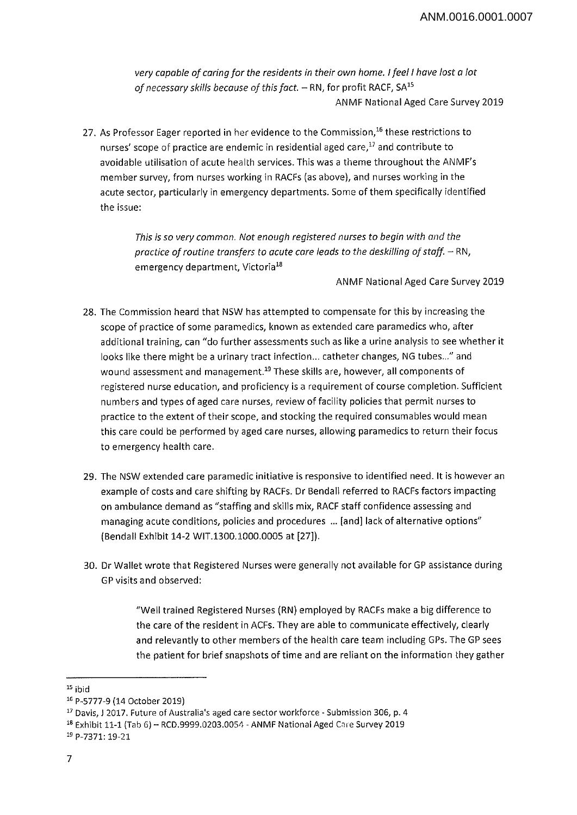*very capable of caringfor the residents in their own home. Ifeel I have lost a lot ofnecessary skills because of this fact. -* RN, for profit RACF, SA15 ANMF National Aged Care Survey 2019

27. As Professor Eager reported in her evidence to the Commission,<sup>16</sup> these restrictions to nurses' scope of practice are endemic in residential aged care,<sup>17</sup> and contribute to avoidable utilisation of acute health services. This was <sup>a</sup> theme throughout the ANMF's member survey, from nurses working in RACFs (as above), and nurses working in the acute sector, particularly in emergency departments. Some of them specifically identified the issue:

> *This is so very common. Not enough registered nurses to begin with and the practice ofroutine transfers to acute care leads to the deskilling ofstaff. -* RN, emergency department, Victoria<sup>18</sup>

> > ANMF National Aged Care Survey 2019

- 28. The Commission heard that NSW has attempted to compensate for this by increasing the scope of practice of some paramedics, known as extended care paramedics who, after additional training, can "do further assessments such as like a urine analysis to see whether it looks like there might be a urinary tract infection... catheter changes, NG tubes..." and wound assessment and management.<sup>19</sup> These skills are, however, all components of registered nurse education, and proficiency is <sup>a</sup> requirement of course completion. Sufficient numbers and types of aged care nurses, review of facility policies that permit nurses to practice to the extent of their scope, and stocking the required consumables would mean this care could be performed by aged care nurses, allowing paramedics to return their focus to emergency health care.
- 29. The NSW extended care paramedic initiative is responsive to identified need. It is however an example of costs and care shifting by RACFs. Dr Bendall referred to RACFs factors impacting on ambulance demand as "staffing and skills mix, RACF staff confidence assessing and managing acute conditions, policies and procedures ... [and] lack of alternative options" (Bendall Exhibit 14-2 WIT.1300.1000.0005 at [27]).
- 30. Dr Wallet wrote that Registered Nurses were generally not available for GP assistance during GP visits and observed:

"Well trained Registered Nurses (RN) employed by RACFs make a big difference to the care of the resident in ACFs. They are able to communicate effectively, clearly and relevantly to other members of the health care team including GPs. The GP sees the patient for brief snapshots of time and are reliant on the information they gather

 $15$  ibid

<sup>16</sup> P-5777-9 (14 October 2019)

<sup>&</sup>lt;sup>17</sup> Davis, J 2017. Future of Australia's aged care sector workforce - Submission 306, p. 4

<sup>18</sup> Exhibit 11-1 (Tab 6) - RCD.9999.0203.0054 - ANMF National Aged Care Survey 2019 <sup>19</sup> P-7371:19-21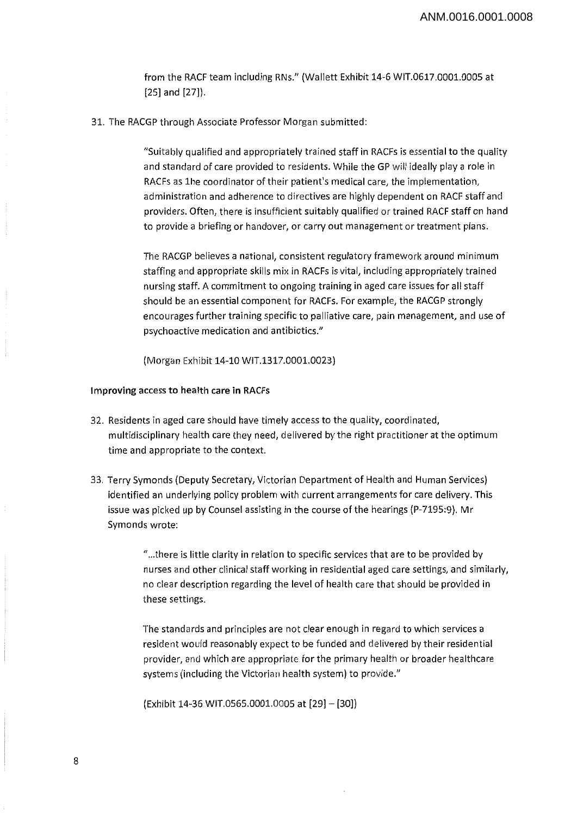from the RACF team including RNs." (Wallett Exhibit 14-6 WIT.0617.0001.0005 at [25] and [27]).

31. The RACGP through Associate Professor Morgan submitted:

"Suitably qualified and appropriately trained staff in RACFs is essential to the quality and standard of care provided to residents. While the GP will ideally play a role in RACFs as Ihe coordinator of their patient's medical care, the implementation, administration and adherence to directives are highly dependent on RACF staff and providers. Often, there is insufficient suitably qualified or trained RACF staff on hand to provide <sup>a</sup> briefing or handover, or carry out management or treatment plans.

The RACGP believes a national, consistent regulatory framework around minimum staffing and appropriate skills mix in RACFs is vital, including appropriately trained nursing staff. A commitment to ongoing training in aged care issues for all staff should be an essential component for RACFs. For example, the RACGP strongly encourages further training specific to palliative care, pain management, and use of psychoactive medication and antibiotics."

(Morgan Exhibit 14-10 WIT.1317.0001.0023)

#### **Improving access to health care in RACFs**

- 32. Residents in aged care should have timely access to the quality, coordinated, multidisciplinary health care they need, delivered by the right practitioner at the optimum time and appropriate to the context.
- 33. Terry Symonds (Deputy Secretary, Victorian Department of Health and Human Services) identified an underlying policy problem with current arrangements for care delivery. This issue was picked up by Counsel assisting in the course of the hearings (P-7195:9). Mr Symonds wrote:

"...there is little clarity in relation to specific services that are to be provided by nurses and other clinical staff working in residential aged care settings, and similarly, no clear description regarding the level of health care that should be provided in these settings.

The standards and principles are not clear enough in regard to which services <sup>a</sup> resident would reasonably expect to be funded and delivered by their residential provider, and which are appropriate *for* the primary health *or* broader healthcare systems (including the Victorian health system) to provide."

 $\text{(Exhibit 14-36 WIT.0565.0001.0005 at } [29] - [30])$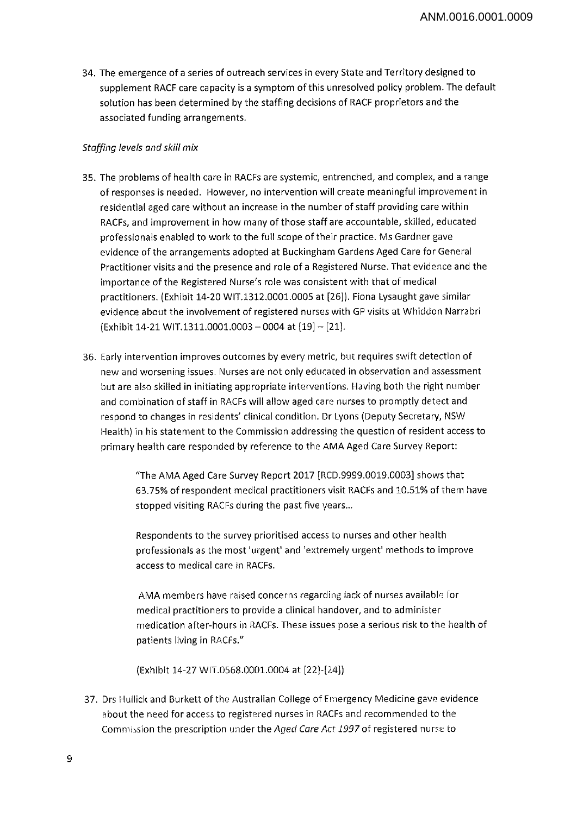34. The emergence of <sup>a</sup> series of outreach services in every State and Territory designed to supplement RACF care capacity is a symptom of this unresolved policy problem. The default solution has been determined by the staffing decisions of RACF proprietors and the associated funding arrangements.

# *Staffing levels and skill mix*

- 35. The problems of health care in RACFs are systemic, entrenched, and complex, and <sup>a</sup> range of responses is needed. However, no intervention will create meaningful improvement in residential aged care without an increase in the number of staff providing care within RACFs, and improvement in how many of those staff are accountable, skilled, educated professionals enabled to work to the full scope of their practice. Ms Gardner gave evidence of the arrangements adopted at Buckingham Gardens Aged Care for General Practitioner visits and the presence and role of <sup>a</sup> Registered Nurse. That evidence and the importance of the Registered Nurse's role was consistent with that of medical practitioners. (Exhibit 14-20 WIT.1312.0001.0005 at [26]). Fiona Lysaught gave similar evidence about the involvement of registered nurses with GP visits at Whiddon Narrabri (Exhibit 14-21 WIT.1311.0001.0003 - 0004 at [19] - [21].
- 36. Early intervention improves outcomes by every metric, but requires swift detection of new and worsening issues. Nurses are not only educated in observation and assessment but are also skilled in initiating appropriate interventions. Having both the right number and combination of staff in RACFs will allow aged care nurses to promptly detect and respond to changes in residents' clinical condition. Dr Lyons (Deputy Secretary, NSW Health) in his statement to the Commission addressing the question of resident access to primary health care responded by reference to the AMA Aged Care Survey Report:

"The AMA Aged Care Survey Report 2017 [RCD.9999.0019.0003] shows that 63.75% of respondent medical practitioners visit RACFs and 10.51% of them have stopped visiting RACFs during the past five years...

Respondents to the survey prioritised access to nurses and other health professionals as the most 'urgent' and 'extremely urgent' methods to improve access to medical care in RACFs.

AMA members have raised concerns regarding lack of nurses available for medical practitioners to provide a clinical handover, and to administer medication after-hours in RACFs. These issues pose a serious risk to the health of patients living in RACFs."

(Exhibit 14-27 WIT.0568.0001.0004 at [22]-[24])

37. Drs Hullick and Burkett of the Australian College of Emergency Medicine gave evidence about the need for access to registered nurses in RACFs and recommended to the Commission the prescription under the Aged *Care Act 1997* of registered nurse to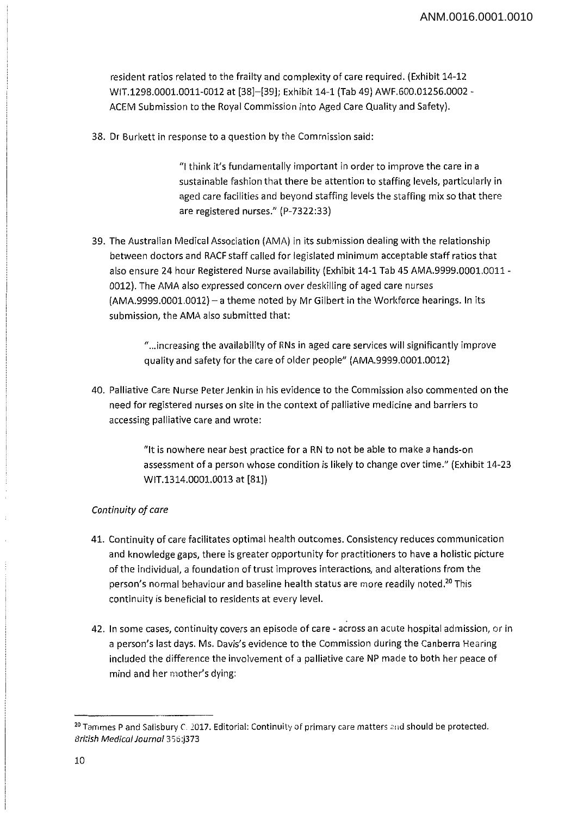resident ratios related to the frailty and complexity of care required. (Exhibit 14-12 WIT. 1298.0001.0011-0012 at [38]-[39]; Exhibit 14-1 (Tab 49) AWF.600.01256.0002 - ACEM Submission to the Royal Commission into Aged Care Quality and Safety).

38. Dr Burkett in response to <sup>a</sup> question by the Commission said:

"I think it's fundamentally important in order to improve the care in <sup>a</sup> sustainable fashion that there be attention to staffing levels, particularly in aged care facilities and beyond staffing levels the staffing mix so that there are registered nurses." (P-7322:33)

39. The Australian Medical Association (AMA) in its submission dealing with the relationship between doctors and RACF staff called for legislated minimum acceptable staff ratios that also ensure 24 hour Registered Nurse availability (Exhibit 14-1 Tab 45 AMA.9999.0001.0011 - 0012). The AMA also expressed concern over deskilling of aged care nurses (AMA.9999.0001.0012) - a theme noted by Mr Gilbert in the Workforce hearings. In its submission, the AMA also submitted that:

> "...increasing the availability of RNs in aged care services will significantly improve quality and safety for the care of older people" (AMA.9999.0001.0012)

40. Palliative Care Nurse Peter Jenkin in his evidence to the Commission also commented on the need for registered nurses on site in the context of palliative medicine and barriers to accessing palliative care and wrote:

> "It is nowhere near best practice for <sup>a</sup> RN to not be able to make a hands-on assessment of a person whose condition is likely to change over time." (Exhibit 14-23 WIT.1314.0001.0013 at [81])

#### *Continuity* of care

- 41. Continuity of care facilitates optimal health outcomes. Consistency reduces communication and knowledge gaps, there is greater opportunity for practitioners to have a holistic picture of the individual, <sup>a</sup> foundation of trust improves interactions, and alterations from the person's normal behaviour and baseline health status are more readily noted.<sup>20</sup> This continuity is beneficial to residents at every level.
- 42. In some cases, continuity covers an episode of care across an acute hospital admission, or in <sup>a</sup> person's last days. Ms. Davis's evidence to the Commission during the Canberra Hearing included the difference the involvement of <sup>a</sup> palliative care NP made to both her peace of mind and her mother's dying:

<sup>20</sup>Tammes <sup>P</sup> and Salisbury *C.* 2017. Editorial: Continuity of primary care matters and should be protected. *British Medical Journal*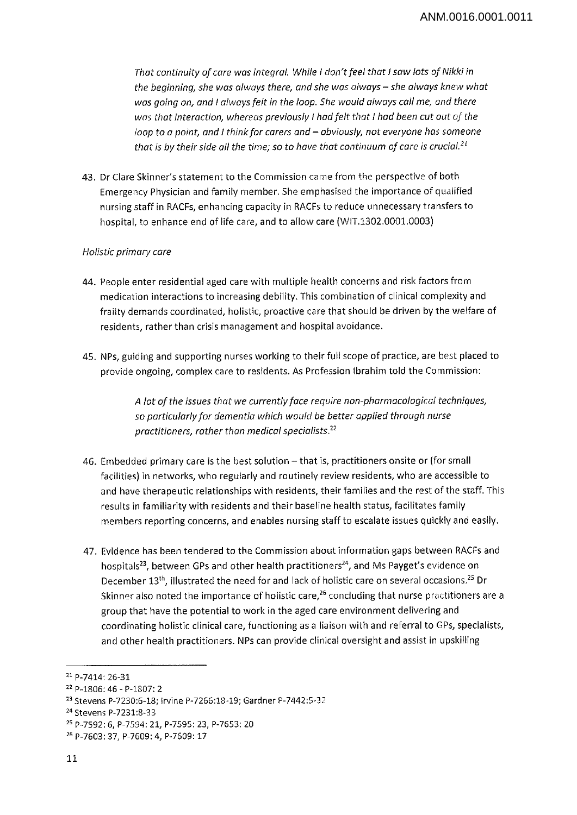*That continuity ofcare was integral. While I don'tfeel that I saw lots of Nikki in the beginning, she was always there, and she was always - she always knew what was going on, and I always felt in the loop. She would always call me, and there was that interaction, whereas previously I hadfelt that I had been cut out of the loop to a point, and I thinkfor carers and - obviously, not everyone has someone that is by their side all the time; so to have that continuum of care is crucial.21 22*

43. Dr Clare Skinner's statement to the Commission came from the perspective of both Emergency Physician and family member. She emphasised the importance of qualified nursing staff in RACFs, enhancing capacity in RACFs to reduce unnecessary transfers to hospital, to enhance end of life care, and to allow care (WIT.1302.0001.0003)

# *Holistic primary care*

- 44. People enter residential aged care with multiple health concerns and risk factors from medication interactions to increasing debility. This combination of clinical complexity and frailty demands coordinated, holistic, proactive care that should be driven by the welfare of residents, rather than crisis management and hospital avoidance.
- 45. NPs, guiding and supporting nurses working to their full scope of practice, are best placed to provide ongoing, complex care to residents. As Profession Ibrahim told the Commission:

*A lot of the issues that we currentlyface require non-pharmacological techniques, so particularlyfor dementia which would be better applied through nurse practitioners, rather than medical specialists.27*

- 46. Embedded primary care is the best solution that is, practitioners onsite or (for small facilities) in networks, who regularly and routinely review residents, who are accessible to and have therapeutic relationships with residents, their families and the rest of the staff. This results in familiarity with residents and their baseline health status, facilitates family members reporting concerns, and enables nursing staff to escalate issues quickly and easily.
- 47. Evidence has been tendered to the Commission about information gaps between RACFs and hospitals<sup>23</sup>, between GPs and other health practitioners<sup>24</sup>, and Ms Payget's evidence on December 13<sup>th</sup>, illustrated the need for and lack of holistic care on several occasions.<sup>25</sup> Dr Skinner also noted the importance of holistic care,<sup>26</sup> concluding that nurse practitioners are a group that have the potential to work in the aged care environment delivering and coordinating holistic clinical care, functioning as a liaison with and referral to GPs, specialists, and other health practitioners. NPs can provide clinical oversight and assist in upskilling

<sup>21</sup> P-7414: 26-31

<sup>22</sup> P-1806: 46 - P-1S07: 2

<sup>23</sup> Stevens P-7230:6-18; Irvine P-7266:18-19; Gardner P-7442:5~32

<sup>24</sup> Stevens P-7231:8-33

<sup>25</sup> P-7592: 6, P-7594: 21, P-7595: 23, P-7653: 20

<sup>26</sup> P-7603: 37, P-7609: 4, P-7609:17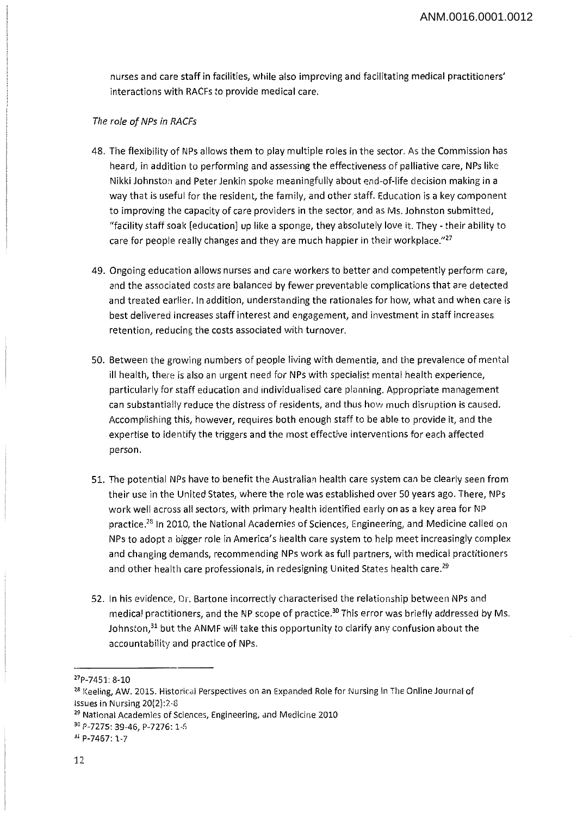nurses and care staff in facilities, while also improving and facilitating medical practitioners' interactions with RACFs to provide medical care.

#### *The role ofNPs in RACFs*

- 48. The flexibility of NPs allows them to play multiple roles in the sector. As the Commission has heard, in addition to performing and assessing the effectiveness of palliative care, NPs like Nikki Johnston and Peter Jenkin spoke meaningfully about end-of-life decision making in <sup>a</sup> way that is useful for the resident, the family, and other staff. Education is <sup>a</sup> key component to improving the capacity of care providers in the sector, and as Ms. Johnston submitted, "facility staff soak [education] up like a sponge, they absolutely love it. They - their ability to care for people really changes and they are much happier in their workplace."<sup>27</sup>
- 49. Ongoing education allows nurses and care workers to better and competently perform care, and the associated costs are balanced by fewer preventable complications that are detected and treated earlier. In addition, understanding the rationales for how, what and when care is best delivered increases staff interest and engagement, and investment in staff increases retention, reducing the costs associated with turnover.
- 50. Between the growing numbers of people living with dementia, and the prevalence of mental ill health, there is also an urgent need for NPs with specialist mental health experience, particularly for staff education and individualised care planning. Appropriate management can substantially reduce the distress of residents, and thus how much disruption is caused. Accomplishing this, however, requires both enough staff to be able to provide it, and the expertise to identify the triggers and the most effective interventions for each affected person.
- 51. The potential NPs have to benefit the Australian health care system can be clearly seen from their use in the United States, where the role was established over 50 years ago. There, NPs work well across all sectors, with primary health identified early on as <sup>a</sup> key area for NP practice.28 In 2010, the National Academies of Sciences, Engineering, and Medicine called on NPs to adopt <sup>a</sup> bigger role in America's health care system to help meet increasingly complex and changing demands, recommending NPs work as full partners, with medical practitioners and other health care professionals, in redesigning United States health care.<sup>29</sup>
- 52. In his evidence, Dr. Bartone incorrectly characterised the relationship between NPs and medical practitioners, and the NP scope of practice.<sup>30</sup> This error was briefly addressed by Ms. Johnston, $31$  but the ANMF will take this opportunity to clarify any confusion about the accountability and practice of NPs.

<sup>27</sup>P-7451: 8-10

<sup>28</sup> Keeling, AW. 2015. Historical Perspectives on an Expanded Role for Nursing in The Online Journal of issues in Nursing 20(2):2-8

<sup>29</sup> National Academies of Sciences, Engineering, and Medicine 2010

<sup>30</sup> P-7275: 39-46, P-7276:1-6

<sup>31</sup> P-7467:1-7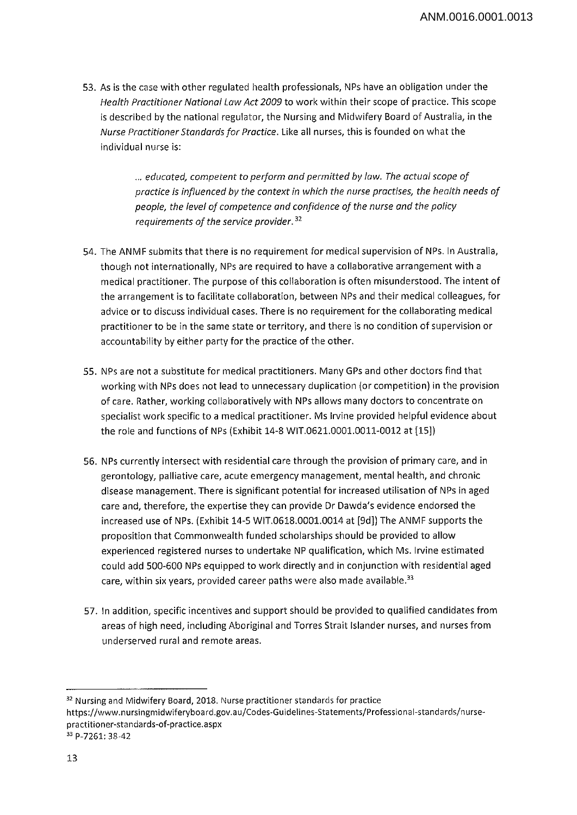53. As is the case with other regulated health professionals, NPs have an obligation under the *Health Practitioner National Law Act 2009* to work within their scope of practice. This scope is described by the national regulator, the Nursing and Midwifery Board of Australia, in the *Nurse Practitioner Standards for Practice.* Like all nurses, this is founded on what the individual nurse is:

> ... *educated, competent to perform and permitted by law. The actual scope of practice Is influenced by the context in which the nurse practises, the health needs of people, the level of competence and confidence of the nurse and the policy requirements of the service provider*.32

- 54. The ANMF submits that there is no requirement for medical supervision of NPs. In Australia, though not internationally, NPs are required to have a collaborative arrangement with <sup>a</sup> medical practitioner. The purpose of this collaboration is often misunderstood. The intent of the arrangement is to facilitate collaboration, between NPs and their medical colleagues, for advice or to discuss individual cases. There is no requirement for the collaborating medical practitioner to be in the same state or territory, and there is no condition of supervision or accountability by either party for the practice of the other.
- 55. NPs are not <sup>a</sup> substitute for medical practitioners. Many GPs and other doctors find that working with NPs does not lead to unnecessary duplication (or competition) in the provision of care. Rather, working collaboratively with NPs allows many doctors to concentrate on specialist work specific to a medical practitioner. Ms Irvine provided helpful evidence about the role and functions of NPs (Exhibit 14-8 WIT.0621.0001.0011-0012 at [15]}
- 56. NPs currently intersect with residential care through the provision of primary care, and in gerontology, palliative care, acute emergency management, mental health, and chronic disease management. There is significant potential for increased utilisation of NPs in aged care and, therefore, the expertise they can provide Dr Dawda's evidence endorsed the increased use of NPs. (Exhibit 14-5 WIT.0618.0001.0014 at [9d]) The ANMF supports the proposition that Commonwealth funded scholarships should be provided to allow experienced registered nurses to undertake NP qualification, which Ms. Irvine estimated could add 500-600 NPs equipped to work directly and in conjunction with residential aged care, within six years, provided career paths were also made available.<sup>33</sup>
- 57. In addition, specific incentives and support should be provided to qualified candidates from areas of high need, including Aboriginal and Torres Strait Islander nurses, and nurses from underserved rural and remote areas.

<sup>&</sup>lt;sup>32</sup> Nursing and Midwifery Board, 2018. Nurse practitioner standards for practice

https://www.nursingmidwiferyboard.gov.au/Codes-Guidelines-Statements/Professional-standards/nursepractitioner-standards-of-practice.aspx

<sup>33</sup> P-7261: 38-42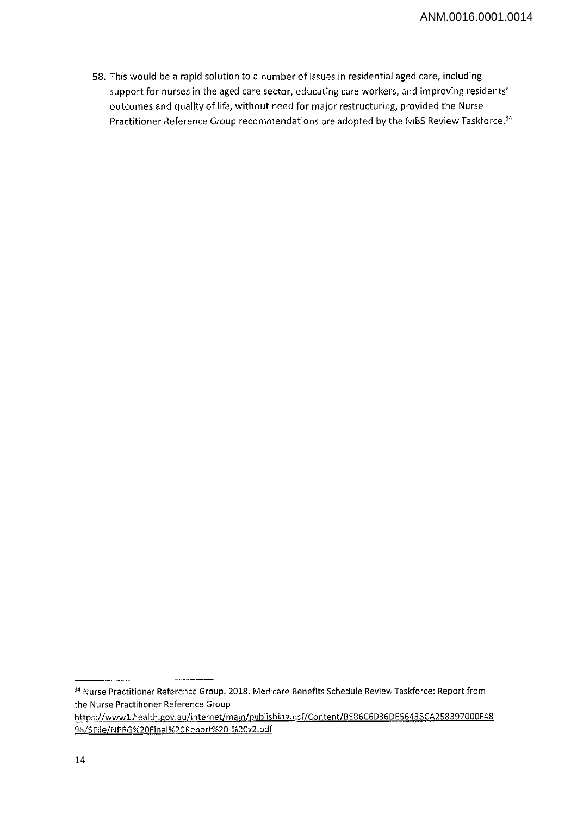58. This would be <sup>a</sup> rapid solution to <sup>a</sup> number of issues in residential aged care, including support for nurses in the aged care sector, educating care workers, and improving residents' outcomes and quality of life, without need for major restructuring, provided the Nurse Practitioner Reference Group recommendations are adopted by the MBS Review Taskforce.<sup>34</sup>

<sup>34</sup> Nurse Practitioner Reference Group. 2018. Medicare Benefits Schedule Review Taskforce: Report from the Nurse Practitioner Reference Group

https://www1.health.gov.au/internet/main/publishing.nsf/Content/BEB6C6D36DE56438CA258397000F48 98/\$File/NPRG%20Final%2QReport%20-%20v2.pdf